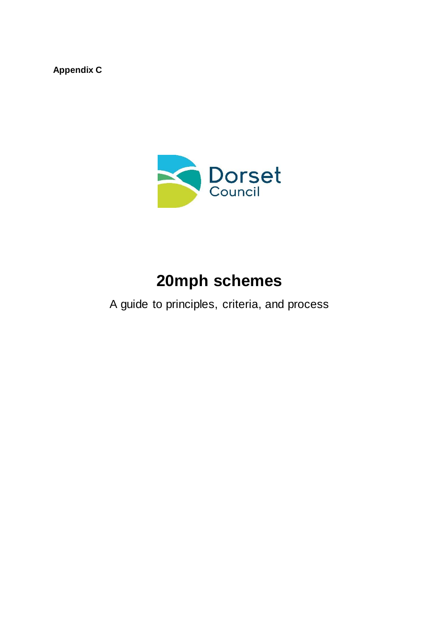**Appendix C**



# **20mph schemes**

A guide to principles, criteria, and process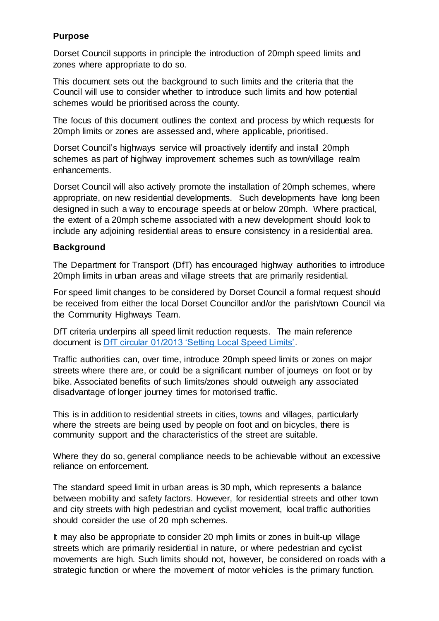#### **Purpose**

Dorset Council supports in principle the introduction of 20mph speed limits and zones where appropriate to do so.

This document sets out the background to such limits and the criteria that the Council will use to consider whether to introduce such limits and how potential schemes would be prioritised across the county.

The focus of this document outlines the context and process by which requests for 20mph limits or zones are assessed and, where applicable, prioritised.

Dorset Council's highways service will proactively identify and install 20mph schemes as part of highway improvement schemes such as town/village realm enhancements.

Dorset Council will also actively promote the installation of 20mph schemes, where appropriate, on new residential developments. Such developments have long been designed in such a way to encourage speeds at or below 20mph. Where practical, the extent of a 20mph scheme associated with a new development should look to include any adjoining residential areas to ensure consistency in a residential area.

#### **Background**

The Department for Transport (DfT) has encouraged highway authorities to introduce 20mph limits in urban areas and village streets that are primarily residential.

For speed limit changes to be considered by Dorset Council a formal request should be received from either the local Dorset Councillor and/or the parish/town Council via the Community Highways Team.

DfT criteria underpins all speed limit reduction requests. The main reference document is [DfT circular 01/2013 'Setting Local Speed Limits'.](https://www.gov.uk/government/publications/setting-local-speed-limits/setting-local-speed-limits)

Traffic authorities can, over time, introduce 20mph speed limits or zones on major streets where there are, or could be a significant number of journeys on foot or by bike. Associated benefits of such limits/zones should outweigh any associated disadvantage of longer journey times for motorised traffic.

This is in addition to residential streets in cities, towns and villages, particularly where the streets are being used by people on foot and on bicycles, there is community support and the characteristics of the street are suitable.

Where they do so, general compliance needs to be achievable without an excessive reliance on enforcement.

The standard speed limit in urban areas is 30 mph, which represents a balance between mobility and safety factors. However, for residential streets and other town and city streets with high pedestrian and cyclist movement, local traffic authorities should consider the use of 20 mph schemes.

It may also be appropriate to consider 20 mph limits or zones in built-up village streets which are primarily residential in nature, or where pedestrian and cyclist movements are high. Such limits should not, however, be considered on roads with a strategic function or where the movement of motor vehicles is the primary function.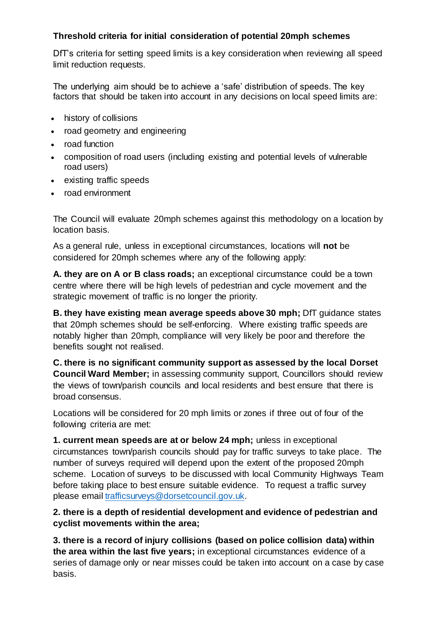#### **Threshold criteria for initial consideration of potential 20mph schemes**

DfT's criteria for setting speed limits is a key consideration when reviewing all speed limit reduction requests.

The underlying aim should be to achieve a 'safe' distribution of speeds. The key factors that should be taken into account in any decisions on local speed limits are:

- history of collisions
- road geometry and engineering
- road function
- composition of road users (including existing and potential levels of vulnerable road users)
- existing traffic speeds
- road environment

The Council will evaluate 20mph schemes against this methodology on a location by location basis.

As a general rule, unless in exceptional circumstances, locations will **not** be considered for 20mph schemes where any of the following apply:

**A. they are on A or B class roads;** an exceptional circumstance could be a town centre where there will be high levels of pedestrian and cycle movement and the strategic movement of traffic is no longer the priority.

**B. they have existing mean average speeds above 30 mph;** DfT guidance states that 20mph schemes should be self-enforcing. Where existing traffic speeds are notably higher than 20mph, compliance will very likely be poor and therefore the benefits sought not realised.

**C. there is no significant community support as assessed by the local Dorset Council Ward Member;** in assessing community support, Councillors should review the views of town/parish councils and local residents and best ensure that there is broad consensus.

Locations will be considered for 20 mph limits or zones if three out of four of the following criteria are met:

**1. current mean speeds are at or below 24 mph;** unless in exceptional circumstances town/parish councils should pay for traffic surveys to take place. The number of surveys required will depend upon the extent of the proposed 20mph scheme. Location of surveys to be discussed with local Community Highways Team before taking place to best ensure suitable evidence. To request a traffic survey please email [trafficsurveys@dorsetcouncil.gov.uk.](mailto:trafficsurveys@dorsetcouncil.gov.uk) 

#### **2. there is a depth of residential development and evidence of pedestrian and cyclist movements within the area;**

**3. there is a record of injury collisions (based on police collision data) within the area within the last five years;** in exceptional circumstances evidence of a series of damage only or near misses could be taken into account on a case by case basis.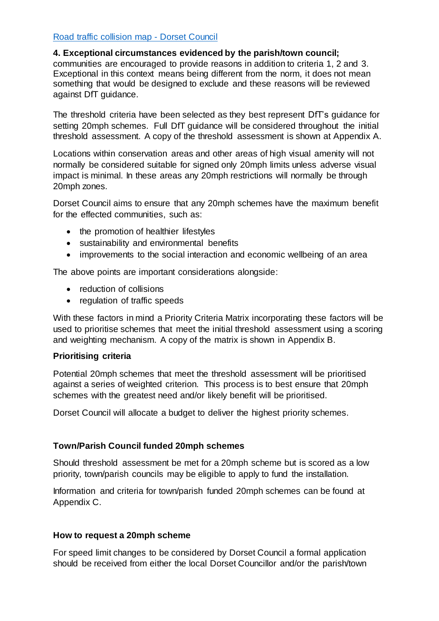#### [Road traffic collision map -](https://www.dorsetcouncil.gov.uk/roads-highways-maintenance/road-safety/road-traffic-collision-map.aspx) Dorset Council

#### **4. Exceptional circumstances evidenced by the parish/town council;**

communities are encouraged to provide reasons in addition to criteria 1, 2 and 3. Exceptional in this context means being different from the norm, it does not mean something that would be designed to exclude and these reasons will be reviewed against [DfT guidance.](https://www.gov.uk/government/publications/setting-local-speed-limits/setting-local-speed-limits#section-1-introduction)

The threshold criteria have been selected as they best represent DfT's guidance for setting 20mph schemes. Full DfT guidance will be considered throughout the initial threshold assessment. A copy of the threshold assessment is shown at Appendix A.

Locations within conservation areas and other areas of high visual amenity will not normally be considered suitable for signed only 20mph limits unless adverse visual impact is minimal. In these areas any 20mph restrictions will normally be through 20mph zones.

Dorset Council aims to ensure that any 20mph schemes have the maximum benefit for the effected communities, such as:

- the promotion of healthier lifestyles
- sustainability and environmental benefits
- improvements to the social interaction and economic wellbeing of an area

The above points are important considerations alongside:

- reduction of collisions
- regulation of traffic speeds

With these factors in mind a Priority Criteria Matrix incorporating these factors will be used to prioritise schemes that meet the initial threshold assessment using a scoring and weighting mechanism. A copy of the matrix is shown in Appendix B.

#### **Prioritising criteria**

Potential 20mph schemes that meet the threshold assessment will be prioritised against a series of weighted criterion. This process is to best ensure that 20mph schemes with the greatest need and/or likely benefit will be prioritised.

Dorset Council will allocate a budget to deliver the highest priority schemes.

#### **Town/Parish Council funded 20mph schemes**

Should threshold assessment be met for a 20mph scheme but is scored as a low priority, town/parish councils may be eligible to apply to fund the installation.

Information and criteria for town/parish funded 20mph schemes can be found at Appendix C.

#### **How to request a 20mph scheme**

For speed limit changes to be considered by Dorset Council a formal application should be received from either the local Dorset Councillor and/or the parish/town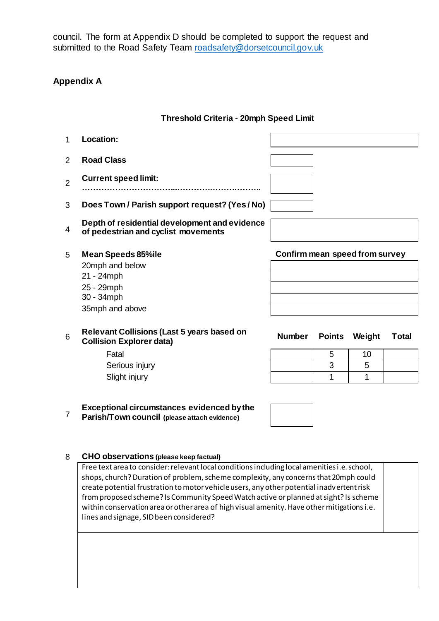council. The form at Appendix D should be completed to support the request and submitted to the Road Safety Team [roadsafety@dorsetcouncil.gov.uk](mailto:roadsafety@dorsetcouncil.gov.uk)

#### **Appendix A**

#### **Threshold Criteria - 20mph Speed Limit**

| 2              |                                                                                                           |                                |               |        |       |
|----------------|-----------------------------------------------------------------------------------------------------------|--------------------------------|---------------|--------|-------|
|                | <b>Road Class</b>                                                                                         |                                |               |        |       |
| $\overline{2}$ | <b>Current speed limit:</b>                                                                               |                                |               |        |       |
| 3              | Does Town / Parish support request? (Yes / No)                                                            |                                |               |        |       |
| 4              | Depth of residential development and evidence<br>of pedestrian and cyclist movements                      |                                |               |        |       |
| 5              | <b>Mean Speeds 85%ile</b><br>20mph and below<br>21 - 24mph<br>25 - 29mph<br>30 - 34mph<br>35mph and above | Confirm mean speed from survey |               |        |       |
| 6              | <b>Relevant Collisions (Last 5 years based on</b><br><b>Collision Explorer data)</b>                      | <b>Number</b>                  | <b>Points</b> | Weight | Total |
|                | Fatal                                                                                                     |                                | 5             | 10     |       |
|                | Serious injury                                                                                            |                                | 3             | 5      |       |
|                | Slight injury                                                                                             |                                | 1             | 1      |       |

### **Exceptional circumstances evidenced by the**

7 **Parish/Town council (please attach evidence)**

#### 8 **CHO observations (please keep factual)**

Free text area to consider: relevant local conditions including local amenities i.e. school, shops, church? Duration of problem, scheme complexity, any concerns that 20mph could create potential frustration to motor vehicle users, any other potential inadvertent risk from proposed scheme? Is Community Speed Watch active or planned at sight? Is scheme within conservation area or other area of high visual amenity. Have other mitigations i.e. lines and signage, SID been considered?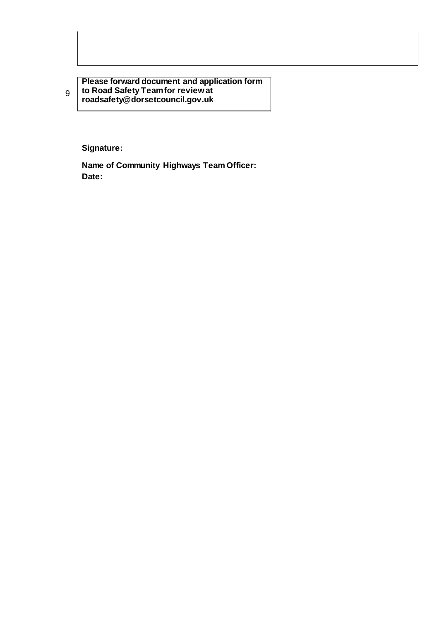**Please forward document and application form to Road Safety Team for review at roadsafety@dorsetcouncil.gov.uk**

**Signature:** 

**Name of Community Highways Team Officer: Date:** 

9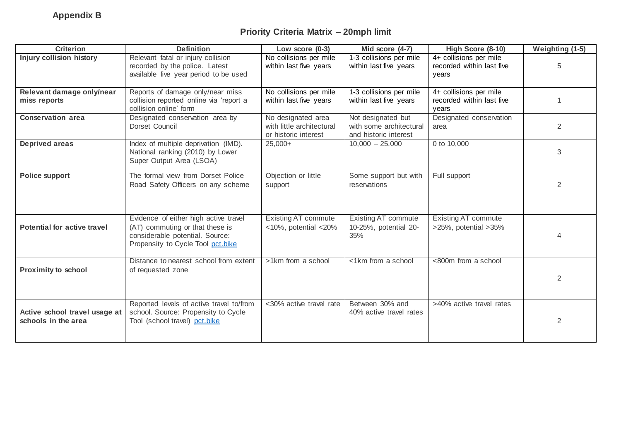## **Priority Criteria Matrix – 20mph limit**

| <b>Criterion</b>                                     | <b>Definition</b>                                                                                                                                | Low score (0-3)                                                         | Mid score (4-7)                                                        | High Score (8-10)                                            | <b>Weighting (1-5)</b> |
|------------------------------------------------------|--------------------------------------------------------------------------------------------------------------------------------------------------|-------------------------------------------------------------------------|------------------------------------------------------------------------|--------------------------------------------------------------|------------------------|
| <b>Injury collision history</b>                      | Relevant fatal or injury collision<br>recorded by the police. Latest<br>available five year period to be used                                    | No collisions per mile<br>within last five years                        | 1-3 collisions per mile<br>within last five years                      | 4+ collisions per mile<br>recorded within last five<br>years | 5                      |
| Relevant damage only/near<br>miss reports            | Reports of damage only/near miss<br>collision reported online via 'report a<br>collision online' form                                            | No collisions per mile<br>within last five years                        | $1-3$ collisions per mile<br>within last five years                    | 4+ collisions per mile<br>recorded within last five<br>years |                        |
| <b>Conservation area</b>                             | Designated conservation area by<br>Dorset Council                                                                                                | No designated area<br>with little architectural<br>or historic interest | Not designated but<br>with some architectural<br>and historic interest | Designated conservation<br>area                              | $\overline{2}$         |
| <b>Deprived areas</b>                                | Index of multiple deprivation (IMD).<br>National ranking (2010) by Lower<br>Super Output Area (LSOA)                                             | $25,000+$                                                               | $10,000 - 25,000$                                                      | 0 to 10,000                                                  | 3                      |
| Police support                                       | The formal view from Dorset Police<br>Road Safety Officers on any scheme                                                                         | Objection or little<br>support                                          | Some support but with<br>reservations                                  | Full support                                                 | $\overline{2}$         |
| <b>Potential for active travel</b>                   | Evidence of either high active travel<br>(AT) commuting or that these is<br>considerable potential. Source:<br>Propensity to Cycle Tool pct.bike | <b>Existing AT commute</b><br>$<$ 10%, potential $<$ 20%                | <b>Existing AT commute</b><br>10-25%, potential 20-<br>35%             | <b>Existing AT commute</b><br>>25%, potential >35%           |                        |
| <b>Proximity to school</b>                           | Distance to nearest school from extent<br>of requested zone                                                                                      | >1km from a school                                                      | <1km from a school                                                     | <800m from a school                                          | $\overline{2}$         |
| Active school travel usage at<br>schools in the area | Reported levels of active travel to/from<br>school. Source: Propensity to Cycle<br>Tool (school travel) pct.bike                                 | <30% active travel rate                                                 | Between 30% and<br>40% active travel rates                             | >40% active travel rates                                     | 2                      |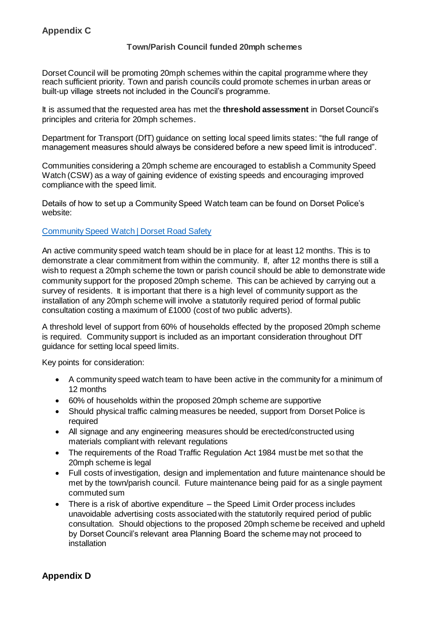#### **Appendix C**

#### **Town/Parish Council funded 20mph schemes**

Dorset Council will be promoting 20mph schemes within the capital programme where they reach sufficient priority. Town and parish councils could promote schemes in urban areas or built-up village streets not included in the Council's programme.

It is assumed that the requested area has met the **threshold assessment** in Dorset Council's principles and criteria for 20mph schemes.

Department for Transport (DfT) guidance on setting local speed limits states: "the full range of management measures should always be considered before a new speed limit is introduced".

Communities considering a 20mph scheme are encouraged to establish a Community Speed Watch (CSW) as a way of gaining evidence of existing speeds and encouraging improved compliance with the speed limit.

Details of how to set up a Community Speed Watch team can be found on Dorset Police's website:

#### [Community Speed Watch | Dorset Road Safety](https://www.dorsetroadsafe.org.uk/enforcement-operations/community-speed-watch/)

An active community speed watch team should be in place for at least 12 months. This is to demonstrate a clear commitment from within the community. If, after 12 months there is still a wish to request a 20mph scheme the town or parish council should be able to demonstrate wide community support for the proposed 20mph scheme. This can be achieved by carrying out a survey of residents. It is important that there is a high level of community support as the installation of any 20mph scheme will involve a statutorily required period of formal public consultation costing a maximum of £1000 (cost of two public adverts).

A threshold level of support from 60% of households effected by the proposed 20mph scheme is required. Community support is included as an important consideration throughout DfT guidance for setting local speed limits.

Key points for consideration:

- A community speed watch team to have been active in the community for a minimum of 12 months
- 60% of households within the proposed 20mph scheme are supportive
- Should physical traffic calming measures be needed, support from Dorset Police is required
- All signage and any engineering measures should be erected/constructed using materials compliant with relevant regulations
- The requirements of the Road Traffic Regulation Act 1984 must be met so that the 20mph scheme is legal
- Full costs of investigation, design and implementation and future maintenance should be met by the town/parish council. Future maintenance being paid for as a single payment commuted sum
- There is a risk of abortive expenditure the Speed Limit Order process includes unavoidable advertising costs associated with the statutorily required period of public consultation. Should objections to the proposed 20mph scheme be received and upheld by Dorset Council's relevant area Planning Board the scheme may not proceed to **installation**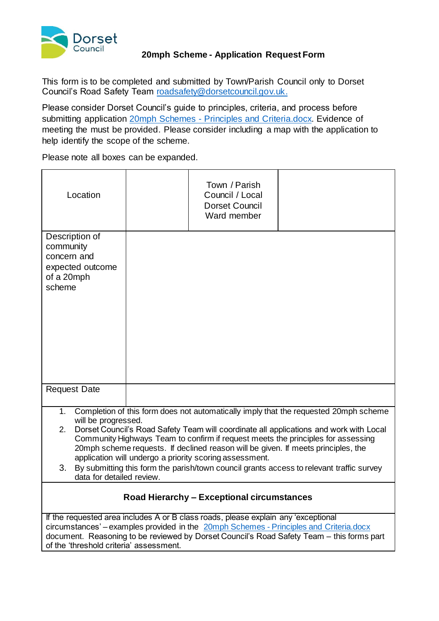

#### **20mph Scheme - Application Request Form**

This form is to be completed and submitted by Town/Parish Council only to Dorset Council's Road Safety Team [roadsafety@dorsetcouncil.gov.uk.](mailto:roadsafety@dorsetcouncil.gov.uk)

Please consider Dorset Council's guide to principles, criteria, and process before submitting application 20mph Schemes - [Principles and Criteria.docx.](20mph%20Schemes%20-%20Principles%20and%20Criteria.docx) Evidence of meeting the must be provided. Please consider including a map with the application to help identify the scope of the scheme.

Please note all boxes can be expanded.

| Location                                                                                                                                                                                                                                                                                                                                                                                                                                                                                                                                                                             |  | Town / Parish<br>Council / Local<br><b>Dorset Council</b><br>Ward member |  |  |  |  |
|--------------------------------------------------------------------------------------------------------------------------------------------------------------------------------------------------------------------------------------------------------------------------------------------------------------------------------------------------------------------------------------------------------------------------------------------------------------------------------------------------------------------------------------------------------------------------------------|--|--------------------------------------------------------------------------|--|--|--|--|
| Description of<br>community<br>concern and<br>expected outcome<br>of a 20mph<br>scheme                                                                                                                                                                                                                                                                                                                                                                                                                                                                                               |  |                                                                          |  |  |  |  |
| <b>Request Date</b>                                                                                                                                                                                                                                                                                                                                                                                                                                                                                                                                                                  |  |                                                                          |  |  |  |  |
| Completion of this form does not automatically imply that the requested 20mph scheme<br>1.<br>will be progressed.<br>Dorset Council's Road Safety Team will coordinate all applications and work with Local<br>2.<br>Community Highways Team to confirm if request meets the principles for assessing<br>20mph scheme requests. If declined reason will be given. If meets principles, the<br>application will undergo a priority scoring assessment.<br>By submitting this form the parish/town council grants access to relevant traffic survey<br>3.<br>data for detailed review. |  |                                                                          |  |  |  |  |
| <b>Road Hierarchy - Exceptional circumstances</b>                                                                                                                                                                                                                                                                                                                                                                                                                                                                                                                                    |  |                                                                          |  |  |  |  |
| If the requested area includes A or B class roads, please explain any 'exceptional<br>circumstances' – examples provided in the 20mph Schemes - Principles and Criteria.docx<br>document. Reasoning to be reviewed by Dorset Council's Road Safety Team - this forms part<br>of the 'threshold criteria' assessment.                                                                                                                                                                                                                                                                 |  |                                                                          |  |  |  |  |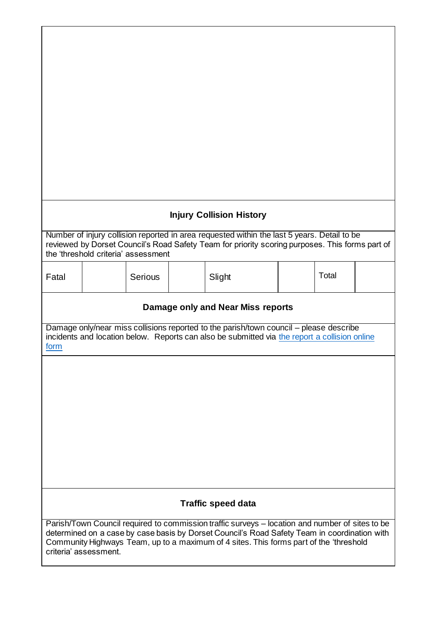|                                                                                                                                                                                                                                                                                                                    |                                                                                                                                                                                                                                       |         |  | <b>Injury Collision History</b> |  |  |       |  |
|--------------------------------------------------------------------------------------------------------------------------------------------------------------------------------------------------------------------------------------------------------------------------------------------------------------------|---------------------------------------------------------------------------------------------------------------------------------------------------------------------------------------------------------------------------------------|---------|--|---------------------------------|--|--|-------|--|
|                                                                                                                                                                                                                                                                                                                    | Number of injury collision reported in area requested within the last 5 years. Detail to be<br>reviewed by Dorset Council's Road Safety Team for priority scoring purposes. This forms part of<br>the 'threshold criteria' assessment |         |  |                                 |  |  |       |  |
| Fatal                                                                                                                                                                                                                                                                                                              |                                                                                                                                                                                                                                       | Serious |  | Slight                          |  |  | Total |  |
|                                                                                                                                                                                                                                                                                                                    | Damage only and Near Miss reports                                                                                                                                                                                                     |         |  |                                 |  |  |       |  |
| form                                                                                                                                                                                                                                                                                                               | Damage only/near miss collisions reported to the parish/town council – please describe<br>incidents and location below. Reports can also be submitted via the report a collision online                                               |         |  |                                 |  |  |       |  |
|                                                                                                                                                                                                                                                                                                                    |                                                                                                                                                                                                                                       |         |  |                                 |  |  |       |  |
|                                                                                                                                                                                                                                                                                                                    |                                                                                                                                                                                                                                       |         |  |                                 |  |  |       |  |
|                                                                                                                                                                                                                                                                                                                    |                                                                                                                                                                                                                                       |         |  |                                 |  |  |       |  |
|                                                                                                                                                                                                                                                                                                                    |                                                                                                                                                                                                                                       |         |  |                                 |  |  |       |  |
|                                                                                                                                                                                                                                                                                                                    |                                                                                                                                                                                                                                       |         |  |                                 |  |  |       |  |
|                                                                                                                                                                                                                                                                                                                    |                                                                                                                                                                                                                                       |         |  |                                 |  |  |       |  |
| <b>Traffic speed data</b>                                                                                                                                                                                                                                                                                          |                                                                                                                                                                                                                                       |         |  |                                 |  |  |       |  |
| Parish/Town Council required to commission traffic surveys - location and number of sites to be<br>determined on a case by case basis by Dorset Council's Road Safety Team in coordination with<br>Community Highways Team, up to a maximum of 4 sites. This forms part of the 'threshold<br>criteria' assessment. |                                                                                                                                                                                                                                       |         |  |                                 |  |  |       |  |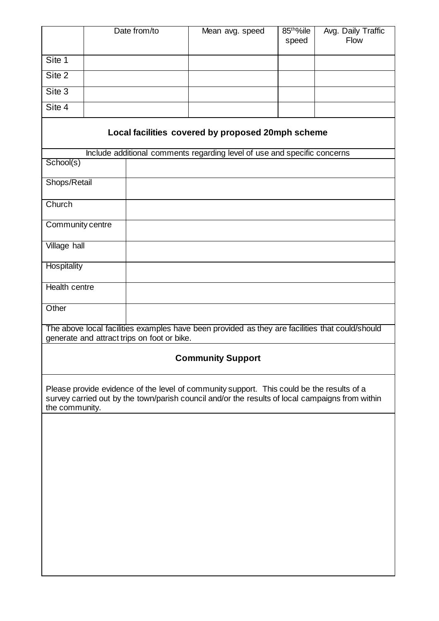|                                                                                                                                                                                                                |  | Date from/to                                | Mean avg. speed                                                                                 | 85 <sup>tho</sup> %ile<br>speed | Avg. Daily Traffic<br>Flow |  |  |  |
|----------------------------------------------------------------------------------------------------------------------------------------------------------------------------------------------------------------|--|---------------------------------------------|-------------------------------------------------------------------------------------------------|---------------------------------|----------------------------|--|--|--|
| Site 1                                                                                                                                                                                                         |  |                                             |                                                                                                 |                                 |                            |  |  |  |
| Site 2                                                                                                                                                                                                         |  |                                             |                                                                                                 |                                 |                            |  |  |  |
| Site 3                                                                                                                                                                                                         |  |                                             |                                                                                                 |                                 |                            |  |  |  |
| Site 4                                                                                                                                                                                                         |  |                                             |                                                                                                 |                                 |                            |  |  |  |
| Local facilities covered by proposed 20mph scheme                                                                                                                                                              |  |                                             |                                                                                                 |                                 |                            |  |  |  |
|                                                                                                                                                                                                                |  |                                             | Include additional comments regarding level of use and specific concerns                        |                                 |                            |  |  |  |
| School(s)                                                                                                                                                                                                      |  |                                             |                                                                                                 |                                 |                            |  |  |  |
| Shops/Retail                                                                                                                                                                                                   |  |                                             |                                                                                                 |                                 |                            |  |  |  |
| Church                                                                                                                                                                                                         |  |                                             |                                                                                                 |                                 |                            |  |  |  |
| Community centre                                                                                                                                                                                               |  |                                             |                                                                                                 |                                 |                            |  |  |  |
| <b>Village hall</b>                                                                                                                                                                                            |  |                                             |                                                                                                 |                                 |                            |  |  |  |
| Hospitality                                                                                                                                                                                                    |  |                                             |                                                                                                 |                                 |                            |  |  |  |
| <b>Health centre</b>                                                                                                                                                                                           |  |                                             |                                                                                                 |                                 |                            |  |  |  |
|                                                                                                                                                                                                                |  |                                             |                                                                                                 |                                 |                            |  |  |  |
| Other                                                                                                                                                                                                          |  |                                             |                                                                                                 |                                 |                            |  |  |  |
|                                                                                                                                                                                                                |  | generate and attract trips on foot or bike. | The above local facilities examples have been provided as they are facilities that could/should |                                 |                            |  |  |  |
|                                                                                                                                                                                                                |  |                                             | <b>Community Support</b>                                                                        |                                 |                            |  |  |  |
| Please provide evidence of the level of community support. This could be the results of a<br>survey carried out by the town/parish council and/or the results of local campaigns from within<br>the community. |  |                                             |                                                                                                 |                                 |                            |  |  |  |
|                                                                                                                                                                                                                |  |                                             |                                                                                                 |                                 |                            |  |  |  |
|                                                                                                                                                                                                                |  |                                             |                                                                                                 |                                 |                            |  |  |  |
|                                                                                                                                                                                                                |  |                                             |                                                                                                 |                                 |                            |  |  |  |
|                                                                                                                                                                                                                |  |                                             |                                                                                                 |                                 |                            |  |  |  |
|                                                                                                                                                                                                                |  |                                             |                                                                                                 |                                 |                            |  |  |  |
|                                                                                                                                                                                                                |  |                                             |                                                                                                 |                                 |                            |  |  |  |
|                                                                                                                                                                                                                |  |                                             |                                                                                                 |                                 |                            |  |  |  |
|                                                                                                                                                                                                                |  |                                             |                                                                                                 |                                 |                            |  |  |  |
|                                                                                                                                                                                                                |  |                                             |                                                                                                 |                                 |                            |  |  |  |
|                                                                                                                                                                                                                |  |                                             |                                                                                                 |                                 |                            |  |  |  |

 $\overline{\phantom{a}}$